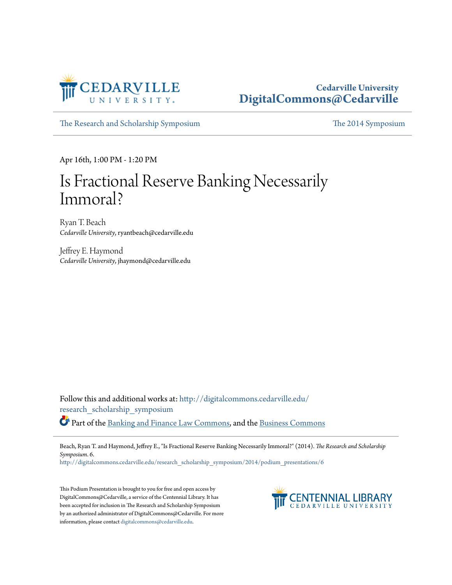

#### **Cedarville University [DigitalCommons@Cedarville](http://digitalcommons.cedarville.edu?utm_source=digitalcommons.cedarville.edu%2Fresearch_scholarship_symposium%2F2014%2Fpodium_presentations%2F6&utm_medium=PDF&utm_campaign=PDFCoverPages)**

[The Research and Scholarship Symposium](http://digitalcommons.cedarville.edu/research_scholarship_symposium?utm_source=digitalcommons.cedarville.edu%2Fresearch_scholarship_symposium%2F2014%2Fpodium_presentations%2F6&utm_medium=PDF&utm_campaign=PDFCoverPages) [The 2014 Symposium](http://digitalcommons.cedarville.edu/research_scholarship_symposium/2014?utm_source=digitalcommons.cedarville.edu%2Fresearch_scholarship_symposium%2F2014%2Fpodium_presentations%2F6&utm_medium=PDF&utm_campaign=PDFCoverPages)

Apr 16th, 1:00 PM - 1:20 PM

### Is Fractional Reserve Banking Necessarily Immoral?

Ryan T. Beach *Cedarville University*, ryantbeach@cedarville.edu

Jeffrey E. Haymond *Cedarville University*, jhaymond@cedarville.edu

Follow this and additional works at: [http://digitalcommons.cedarville.edu/](http://digitalcommons.cedarville.edu/research_scholarship_symposium?utm_source=digitalcommons.cedarville.edu%2Fresearch_scholarship_symposium%2F2014%2Fpodium_presentations%2F6&utm_medium=PDF&utm_campaign=PDFCoverPages) [research\\_scholarship\\_symposium](http://digitalcommons.cedarville.edu/research_scholarship_symposium?utm_source=digitalcommons.cedarville.edu%2Fresearch_scholarship_symposium%2F2014%2Fpodium_presentations%2F6&utm_medium=PDF&utm_campaign=PDFCoverPages) Part of the [Banking and Finance Law Commons](http://network.bepress.com/hgg/discipline/833?utm_source=digitalcommons.cedarville.edu%2Fresearch_scholarship_symposium%2F2014%2Fpodium_presentations%2F6&utm_medium=PDF&utm_campaign=PDFCoverPages), and the [Business Commons](http://network.bepress.com/hgg/discipline/622?utm_source=digitalcommons.cedarville.edu%2Fresearch_scholarship_symposium%2F2014%2Fpodium_presentations%2F6&utm_medium=PDF&utm_campaign=PDFCoverPages)

Beach, Ryan T. and Haymond, Jeffrey E., "Is Fractional Reserve Banking Necessarily Immoral?" (2014). *The Research and Scholarship Symposium*. 6.

[http://digitalcommons.cedarville.edu/research\\_scholarship\\_symposium/2014/podium\\_presentations/6](http://digitalcommons.cedarville.edu/research_scholarship_symposium/2014/podium_presentations/6?utm_source=digitalcommons.cedarville.edu%2Fresearch_scholarship_symposium%2F2014%2Fpodium_presentations%2F6&utm_medium=PDF&utm_campaign=PDFCoverPages)

This Podium Presentation is brought to you for free and open access by DigitalCommons@Cedarville, a service of the Centennial Library. It has been accepted for inclusion in The Research and Scholarship Symposium by an authorized administrator of DigitalCommons@Cedarville. For more information, please contact [digitalcommons@cedarville.edu.](mailto:digitalcommons@cedarville.edu)

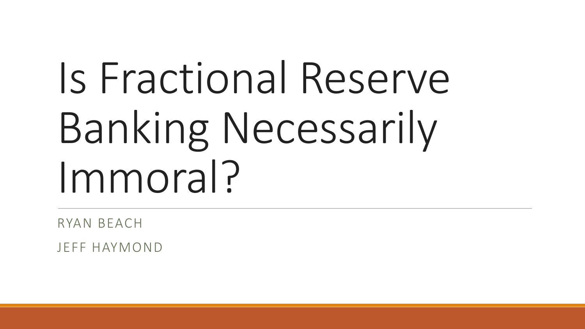# Is Fractional Reserve Banking Necessarily Immoral?

RYAN BEACH

JEFF HAYMOND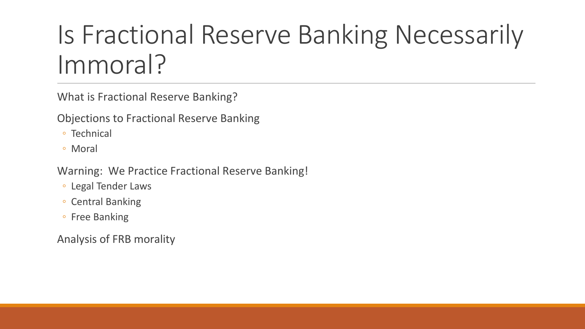### Is Fractional Reserve Banking Necessarily Immoral?

What is Fractional Reserve Banking?

Objections to Fractional Reserve Banking

- Technical
- Moral

Warning: We Practice Fractional Reserve Banking!

- Legal Tender Laws
- Central Banking
- Free Banking

Analysis of FRB morality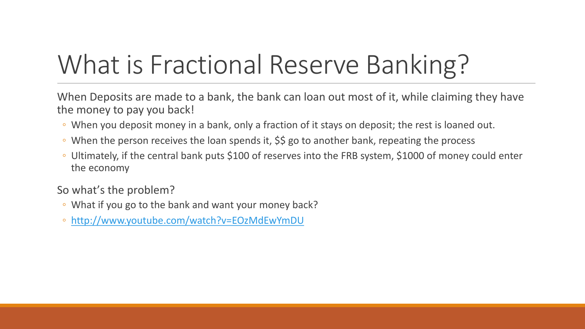### What is Fractional Reserve Banking?

When Deposits are made to a bank, the bank can loan out most of it, while claiming they have the money to pay you back!

- When you deposit money in a bank, only a fraction of it stays on deposit; the rest is loaned out.
- When the person receives the loan spends it, \$\$ go to another bank, repeating the process
- Ultimately, if the central bank puts \$100 of reserves into the FRB system, \$1000 of money could enter the economy

So what's the problem?

- What if you go to the bank and want your money back?
- <http://www.youtube.com/watch?v=EOzMdEwYmDU>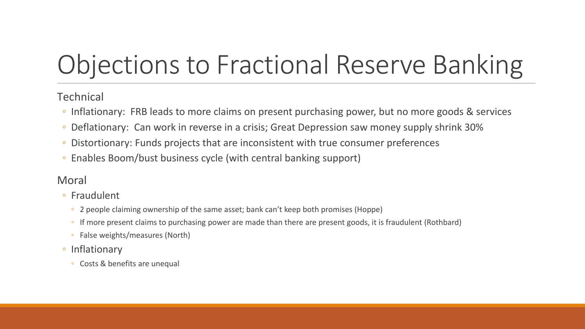### Objections to Fractional Reserve Banking

#### **Technical**

- Inflationary: FRB leads to more claims on present purchasing power, but no more goods & services
- Deflationary: Can work in reverse in a crisis; Great Depression saw money supply shrink 30%
- Distortionary: Funds projects that are inconsistent with true consumer preferences
- Enables Boom/bust business cycle (with central banking support)

#### Moral

- Fraudulent
	- 2 people claiming ownership of the same asset; bank can't keep both promises (Hoppe)
	- If more present claims to purchasing power are made than there are present goods, it is fraudulent (Rothbard)
	- False weights/measures (North)
- Inflationary
	- Costs & benefits are unequal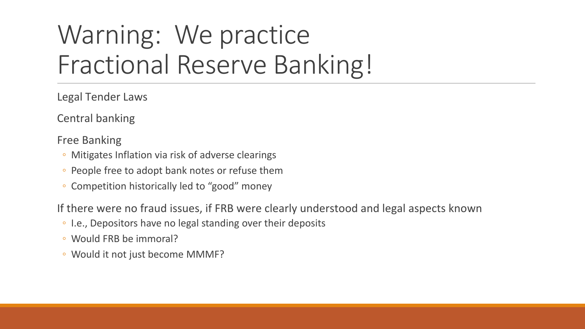### Warning: We practice Fractional Reserve Banking!

Legal Tender Laws

Central banking

Free Banking

- Mitigates Inflation via risk of adverse clearings
- People free to adopt bank notes or refuse them
- Competition historically led to "good" money

If there were no fraud issues, if FRB were clearly understood and legal aspects known

- I.e., Depositors have no legal standing over their deposits
- Would FRB be immoral?
- Would it not just become MMMF?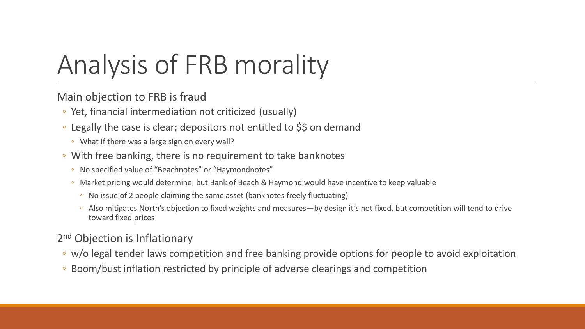## Analysis of FRB morality

Main objection to FRB is fraud

- Yet, financial intermediation not criticized (usually)
- Legally the case is clear; depositors not entitled to \$\$ on demand
	- What if there was a large sign on every wall?
- With free banking, there is no requirement to take banknotes
	- No specified value of "Beachnotes" or "Haymondnotes"
	- Market pricing would determine; but Bank of Beach & Haymond would have incentive to keep valuable
		- No issue of 2 people claiming the same asset (banknotes freely fluctuating)
		- Also mitigates North's objection to fixed weights and measures—by design it's not fixed, but competition will tend to drive toward fixed prices

#### 2<sup>nd</sup> Objection is Inflationary

- w/o legal tender laws competition and free banking provide options for people to avoid exploitation
- Boom/bust inflation restricted by principle of adverse clearings and competition